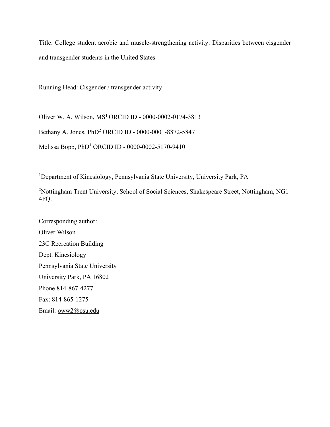Title: College student aerobic and muscle-strengthening activity: Disparities between cisgender and transgender students in the United States

Running Head: Cisgender / transgender activity

Oliver W. A. Wilson,  $MS<sup>1</sup> ORCID ID - 0000-0002-0174-3813$ 

Bethany A. Jones, PhD<sup>2</sup> ORCID ID - 0000-0001-8872-5847

Melissa Bopp, PhD<sup>1</sup> ORCID ID - 0000-0002-5170-9410

<sup>1</sup>Department of Kinesiology, Pennsylvania State University, University Park, PA

<sup>2</sup>Nottingham Trent University, School of Social Sciences, Shakespeare Street, Nottingham, NG1 4FQ.

Corresponding author: Oliver Wilson 23C Recreation Building Dept. Kinesiology Pennsylvania State University University Park, PA 16802 Phone 814-867-4277 Fax: 814-865-1275 Email: [oww2@psu.edu](mailto:oww2@psu.edu)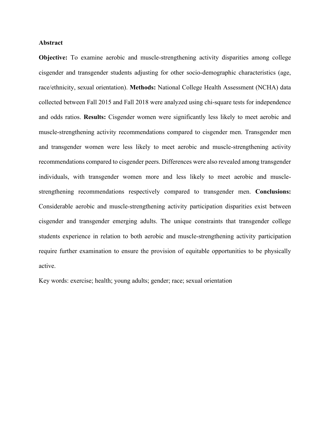## **Abstract**

**Objective:** To examine aerobic and muscle-strengthening activity disparities among college cisgender and transgender students adjusting for other socio-demographic characteristics (age, race/ethnicity, sexual orientation). **Methods:** National College Health Assessment (NCHA) data collected between Fall 2015 and Fall 2018 were analyzed using chi-square tests for independence and odds ratios. **Results:** Cisgender women were significantly less likely to meet aerobic and muscle-strengthening activity recommendations compared to cisgender men. Transgender men and transgender women were less likely to meet aerobic and muscle-strengthening activity recommendations compared to cisgender peers. Differences were also revealed among transgender individuals, with transgender women more and less likely to meet aerobic and musclestrengthening recommendations respectively compared to transgender men. **Conclusions:**  Considerable aerobic and muscle-strengthening activity participation disparities exist between cisgender and transgender emerging adults. The unique constraints that transgender college students experience in relation to both aerobic and muscle-strengthening activity participation require further examination to ensure the provision of equitable opportunities to be physically active.

Key words: exercise; health; young adults; gender; race; sexual orientation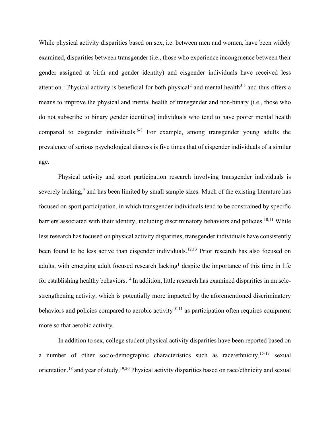While physical activity disparities based on sex, *i.e.* between men and women, have been widely examined, disparities between transgender (i.e., those who experience incongruence between their gender assigned at birth and gender identity) and cisgender individuals have received less attention.<sup>1</sup> Physical activity is beneficial for both physical<sup>2</sup> and mental health<sup>3-5</sup> and thus offers a means to improve the physical and mental health of transgender and non-binary (i.e., those who do not subscribe to binary gender identities) individuals who tend to have poorer mental health compared to cisgender individuals.<sup>6-8</sup> For example, among transgender young adults the prevalence of serious psychological distress is five times that of cisgender individuals of a similar age.

Physical activity and sport participation research involving transgender individuals is severely lacking,<sup>9</sup> and has been limited by small sample sizes. Much of the existing literature has focused on sport participation, in which transgender individuals tend to be constrained by specific barriers associated with their identity, including discriminatory behaviors and policies.<sup>10,11</sup> While less research has focused on physical activity disparities, transgender individuals have consistently been found to be less active than cisgender individuals.<sup>12,13</sup> Prior research has also focused on adults, with emerging adult focused research lacking<sup>1</sup> despite the importance of this time in life for establishing healthy behaviors.<sup>14</sup> In addition, little research has examined disparities in musclestrengthening activity, which is potentially more impacted by the aforementioned discriminatory behaviors and policies compared to aerobic activity<sup>10,11</sup> as participation often requires equipment more so that aerobic activity.

In addition to sex, college student physical activity disparities have been reported based on a number of other socio-demographic characteristics such as race/ethnicity,<sup>15-17</sup> sexual orientation, <sup>18</sup> and year of study. <sup>19,20</sup> Physical activity disparities based on race/ethnicity and sexual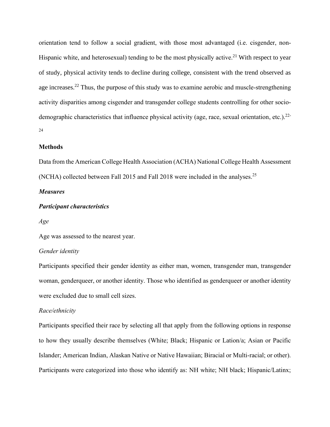orientation tend to follow a social gradient, with those most advantaged (i.e. cisgender, non-Hispanic white, and heterosexual) tending to be the most physically active.<sup>21</sup> With respect to year of study, physical activity tends to decline during college, consistent with the trend observed as age increases.<sup>22</sup> Thus, the purpose of this study was to examine aerobic and muscle-strengthening activity disparities among cisgender and transgender college students controlling for other sociodemographic characteristics that influence physical activity (age, race, sexual orientation, etc.).<sup>22-</sup> 24

### **Methods**

Data from the American College Health Association (ACHA) National College Health Assessment (NCHA) collected between Fall 2015 and Fall 2018 were included in the analyses.<sup>25</sup>

### *Measures*

# *Participant characteristics*

*Age*

Age was assessed to the nearest year.

### *Gender identity*

Participants specified their gender identity as either man, women, transgender man, transgender woman, genderqueer, or another identity. Those who identified as genderqueer or another identity were excluded due to small cell sizes.

#### *Race/ethnicity*

Participants specified their race by selecting all that apply from the following options in response to how they usually describe themselves (White; Black; Hispanic or Lation/a; Asian or Pacific Islander; American Indian, Alaskan Native or Native Hawaiian; Biracial or Multi-racial; or other). Participants were categorized into those who identify as: NH white; NH black; Hispanic/Latinx;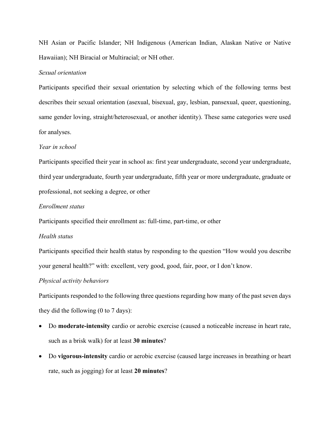NH Asian or Pacific Islander; NH Indigenous (American Indian, Alaskan Native or Native Hawaiian); NH Biracial or Multiracial; or NH other.

### *Sexual orientation*

Participants specified their sexual orientation by selecting which of the following terms best describes their sexual orientation (asexual, bisexual, gay, lesbian, pansexual, queer, questioning, same gender loving, straight/heterosexual, or another identity). These same categories were used for analyses.

### *Year in school*

Participants specified their year in school as: first year undergraduate, second year undergraduate, third year undergraduate, fourth year undergraduate, fifth year or more undergraduate, graduate or professional, not seeking a degree, or other

### *Enrollment status*

Participants specified their enrollment as: full-time, part-time, or other

## *Health status*

Participants specified their health status by responding to the question "How would you describe your general health?" with: excellent, very good, good, fair, poor, or I don't know.

#### *Physical activity behaviors*

Participants responded to the following three questions regarding how many of the past seven days they did the following (0 to 7 days):

- Do **moderate-intensity** cardio or aerobic exercise (caused a noticeable increase in heart rate, such as a brisk walk) for at least **30 minutes**?
- Do **vigorous-intensity** cardio or aerobic exercise (caused large increases in breathing or heart rate, such as jogging) for at least **20 minutes**?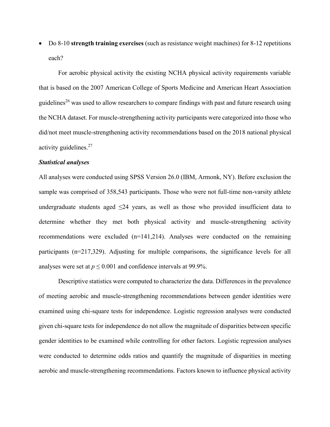• Do 8-10 **strength training exercises** (such as resistance weight machines) for 8-12 repetitions each?

For aerobic physical activity the existing NCHA physical activity requirements variable that is based on the 2007 American College of Sports Medicine and American Heart Association guidelines<sup>26</sup> was used to allow researchers to compare findings with past and future research using the NCHA dataset. For muscle-strengthening activity participants were categorized into those who did/not meet muscle-strengthening activity recommendations based on the 2018 national physical activity guidelines.<sup>27</sup>

#### *Statistical analyses*

All analyses were conducted using SPSS Version 26.0 (IBM, Armonk, NY). Before exclusion the sample was comprised of 358,543 participants. Those who were not full-time non-varsity athlete undergraduate students aged  $\leq 24$  years, as well as those who provided insufficient data to determine whether they met both physical activity and muscle-strengthening activity recommendations were excluded (n=141,214). Analyses were conducted on the remaining participants (n=217,329). Adjusting for multiple comparisons, the significance levels for all analyses were set at  $p \le 0.001$  and confidence intervals at 99.9%.

Descriptive statistics were computed to characterize the data. Differences in the prevalence of meeting aerobic and muscle-strengthening recommendations between gender identities were examined using chi-square tests for independence. Logistic regression analyses were conducted given chi-square tests for independence do not allow the magnitude of disparities between specific gender identities to be examined while controlling for other factors. Logistic regression analyses were conducted to determine odds ratios and quantify the magnitude of disparities in meeting aerobic and muscle-strengthening recommendations. Factors known to influence physical activity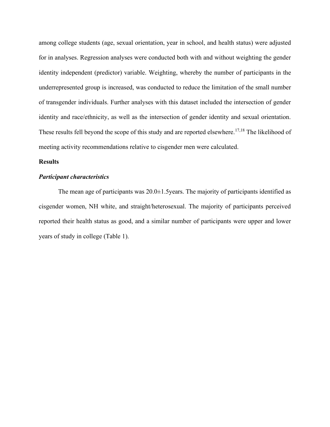among college students (age, sexual orientation, year in school, and health status) were adjusted for in analyses. Regression analyses were conducted both with and without weighting the gender identity independent (predictor) variable. Weighting, whereby the number of participants in the underrepresented group is increased, was conducted to reduce the limitation of the small number of transgender individuals. Further analyses with this dataset included the intersection of gender identity and race/ethnicity, as well as the intersection of gender identity and sexual orientation. These results fell beyond the scope of this study and are reported elsewhere.<sup>17,18</sup> The likelihood of meeting activity recommendations relative to cisgender men were calculated.

## **Results**

# *Participant characteristics*

The mean age of participants was  $20.0\pm1.5$  years. The majority of participants identified as cisgender women, NH white, and straight/heterosexual. The majority of participants perceived reported their health status as good, and a similar number of participants were upper and lower years of study in college (Table 1).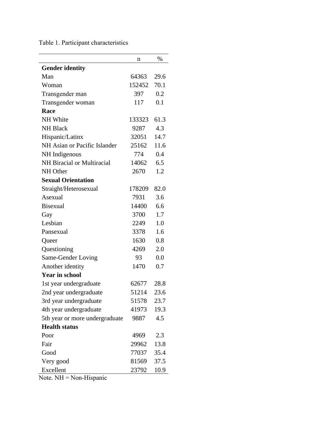Table 1. Participant characteristics

|                                | n      | $\%$ |
|--------------------------------|--------|------|
| <b>Gender identity</b>         |        |      |
| Man                            | 64363  | 29.6 |
| Woman                          | 152452 | 70.1 |
| Transgender man                | 397    | 0.2  |
| Transgender woman              | 117    | 0.1  |
| Race                           |        |      |
| <b>NH</b> White                | 133323 | 61.3 |
| <b>NH Black</b>                | 9287   | 4.3  |
| Hispanic/Latinx                | 32051  | 14.7 |
| NH Asian or Pacific Islander   | 25162  | 11.6 |
| NH Indigenous                  | 774    | 0.4  |
| NH Biracial or Multiracial     | 14062  | 6.5  |
| NH Other                       | 2670   | 1.2  |
| <b>Sexual Orientation</b>      |        |      |
| Straight/Heterosexual          | 178209 | 82.0 |
| Asexual                        | 7931   | 3.6  |
| <b>Bisexual</b>                | 14400  | 6.6  |
| Gay                            | 3700   | 1.7  |
| Lesbian                        | 2249   | 1.0  |
| Pansexual                      | 3378   | 1.6  |
| Queer                          | 1630   | 0.8  |
| Questioning                    | 4269   | 2.0  |
| Same-Gender Loving             | 93     | 0.0  |
| Another identity               | 1470   | 0.7  |
| <b>Year in school</b>          |        |      |
| 1st year undergraduate         | 62677  | 28.8 |
| 2nd year undergraduate         | 51214  | 23.6 |
| 3rd year undergraduate         | 51578  | 23.7 |
| 4th year undergraduate         | 41973  | 19.3 |
| 5th year or more undergraduate | 9887   | 4.5  |
| <b>Health status</b>           |        |      |
| Poor                           | 4969   | 2.3  |
| Fair                           | 29962  | 13.8 |
| Good                           | 77037  | 35.4 |
| Very good                      | 81569  | 37.5 |
| Excellent                      | 23792  | 10.9 |

Note. NH = Non-Hispanic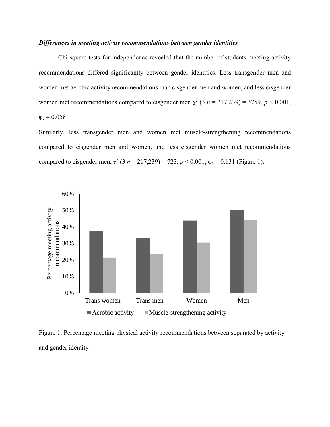### *Differences in meeting activity recommendations between gender identities*

Chi-square tests for independence revealed that the number of students meeting activity recommendations differed significantly between gender identities. Less transgender men and women met aerobic activity recommendations than cisgender men and women, and less cisgender women met recommendations compared to cisgender men  $\chi^2$  (3 *n* = 217,239) = 3759, *p* < 0.001,  $\varphi_c = 0.058$ 

Similarly, less transgender men and women met muscle-strengthening recommendations compared to cisgender men and women, and less cisgender women met recommendations compared to cisgender men,  $\chi^2$  (3 *n* = 217,239) = 723, *p* < 0.001,  $\varphi_c$  = 0.131 (Figure 1).



Figure 1. Percentage meeting physical activity recommendations between separated by activity and gender identity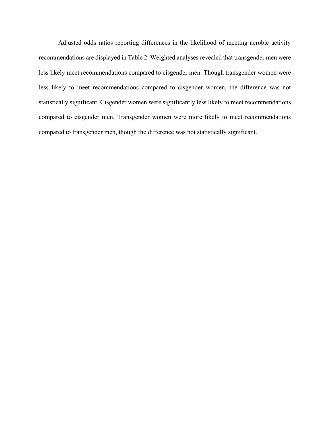Adjusted odds ratios reporting differences in the likelihood of meeting aerobic activity recommendations are displayed in Table 2. Weighted analyses revealed that transgender men were less likely meet recommendations compared to cisgender men. Though transgender women were less likely to meet recommendations compared to cisgender women, the difference was not statistically significant. Cisgender women were significantly less likely to meet recommendations compared to cisgender men. Transgender women were more likely to meet recommendations compared to transgender men, though the difference was not statistically significant.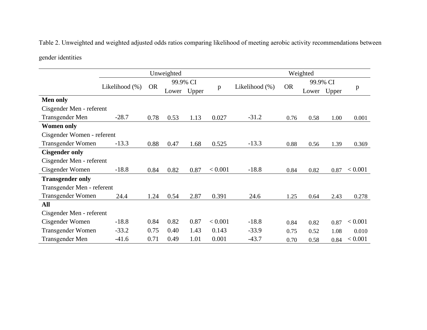Table 2. Unweighted and weighted adjusted odds ratios comparing likelihood of meeting aerobic activity recommendations between

gender identities

|                            | Unweighted     |           |          |       | Weighted |                |           |          |       |         |
|----------------------------|----------------|-----------|----------|-------|----------|----------------|-----------|----------|-------|---------|
|                            |                |           | 99.9% CI |       |          |                |           | 99.9% CI |       |         |
|                            | Likelihood (%) | <b>OR</b> | Lower    | Upper | p        | Likelihood (%) | <b>OR</b> | Lower    | Upper | p       |
| <b>Men only</b>            |                |           |          |       |          |                |           |          |       |         |
| Cisgender Men - referent   |                |           |          |       |          |                |           |          |       |         |
| Transgender Men            | $-28.7$        | 0.78      | 0.53     | 1.13  | 0.027    | $-31.2$        | 0.76      | 0.58     | 1.00  | 0.001   |
| <b>Women only</b>          |                |           |          |       |          |                |           |          |       |         |
| Cisgender Women - referent |                |           |          |       |          |                |           |          |       |         |
| Transgender Women          | $-13.3$        | 0.88      | 0.47     | 1.68  | 0.525    | $-13.3$        | 0.88      | 0.56     | 1.39  | 0.369   |
| <b>Cisgender only</b>      |                |           |          |       |          |                |           |          |       |         |
| Cisgender Men - referent   |                |           |          |       |          |                |           |          |       |         |
| Cisgender Women            | $-18.8$        | 0.84      | 0.82     | 0.87  | < 0.001  | $-18.8$        | 0.84      | 0.82     | 0.87  | < 0.001 |
| <b>Transgender only</b>    |                |           |          |       |          |                |           |          |       |         |
| Transgender Men - referent |                |           |          |       |          |                |           |          |       |         |
| Transgender Women          | 24.4           | 1.24      | 0.54     | 2.87  | 0.391    | 24.6           | 1.25      | 0.64     | 2.43  | 0.278   |
| All                        |                |           |          |       |          |                |           |          |       |         |
| Cisgender Men - referent   |                |           |          |       |          |                |           |          |       |         |
| Cisgender Women            | $-18.8$        | 0.84      | 0.82     | 0.87  | < 0.001  | $-18.8$        | 0.84      | 0.82     | 0.87  | < 0.001 |
| Transgender Women          | $-33.2$        | 0.75      | 0.40     | 1.43  | 0.143    | $-33.9$        | 0.75      | 0.52     | 1.08  | 0.010   |
| Transgender Men            | $-41.6$        | 0.71      | 0.49     | 1.01  | 0.001    | $-43.7$        | 0.70      | 0.58     | 0.84  | < 0.001 |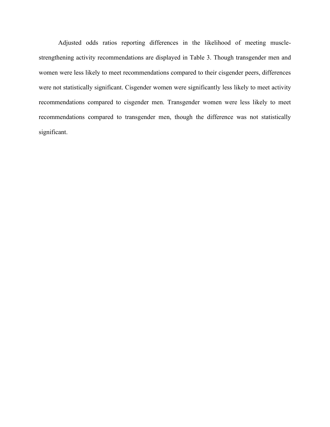Adjusted odds ratios reporting differences in the likelihood of meeting musclestrengthening activity recommendations are displayed in Table 3. Though transgender men and women were less likely to meet recommendations compared to their cisgender peers, differences were not statistically significant. Cisgender women were significantly less likely to meet activity recommendations compared to cisgender men. Transgender women were less likely to meet recommendations compared to transgender men, though the difference was not statistically significant.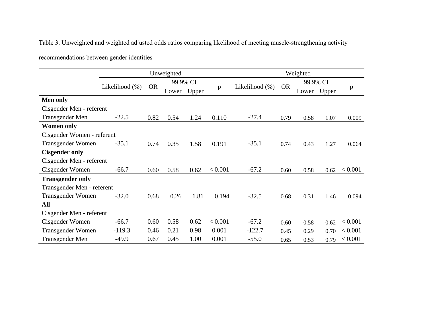Table 3. Unweighted and weighted adjusted odds ratios comparing likelihood of meeting muscle-strengthening activity

recommendations between gender identities

|                            | Unweighted     |           |       |       |          | Weighted       |           |       |       |         |
|----------------------------|----------------|-----------|-------|-------|----------|----------------|-----------|-------|-------|---------|
|                            | 99.9% CI       |           |       |       | 99.9% CI |                |           |       |       |         |
|                            | Likelihood (%) | <b>OR</b> | Lower | Upper | p        | Likelihood (%) | <b>OR</b> | Lower | Upper | p       |
| <b>Men only</b>            |                |           |       |       |          |                |           |       |       |         |
| Cisgender Men - referent   |                |           |       |       |          |                |           |       |       |         |
| Transgender Men            | $-22.5$        | 0.82      | 0.54  | 1.24  | 0.110    | $-27.4$        | 0.79      | 0.58  | 1.07  | 0.009   |
| <b>Women only</b>          |                |           |       |       |          |                |           |       |       |         |
| Cisgender Women - referent |                |           |       |       |          |                |           |       |       |         |
| Transgender Women          | $-35.1$        | 0.74      | 0.35  | 1.58  | 0.191    | $-35.1$        | 0.74      | 0.43  | 1.27  | 0.064   |
| <b>Cisgender only</b>      |                |           |       |       |          |                |           |       |       |         |
| Cisgender Men - referent   |                |           |       |       |          |                |           |       |       |         |
| Cisgender Women            | $-66.7$        | 0.60      | 0.58  | 0.62  | < 0.001  | $-67.2$        | 0.60      | 0.58  | 0.62  | < 0.001 |
| <b>Transgender only</b>    |                |           |       |       |          |                |           |       |       |         |
| Transgender Men - referent |                |           |       |       |          |                |           |       |       |         |
| Transgender Women          | $-32.0$        | 0.68      | 0.26  | 1.81  | 0.194    | $-32.5$        | 0.68      | 0.31  | 1.46  | 0.094   |
| All                        |                |           |       |       |          |                |           |       |       |         |
| Cisgender Men - referent   |                |           |       |       |          |                |           |       |       |         |
| Cisgender Women            | $-66.7$        | 0.60      | 0.58  | 0.62  | < 0.001  | $-67.2$        | 0.60      | 0.58  | 0.62  | < 0.001 |
| Transgender Women          | $-119.3$       | 0.46      | 0.21  | 0.98  | 0.001    | $-122.7$       | 0.45      | 0.29  | 0.70  | < 0.001 |
| Transgender Men            | $-49.9$        | 0.67      | 0.45  | 1.00  | 0.001    | $-55.0$        | 0.65      | 0.53  | 0.79  | < 0.001 |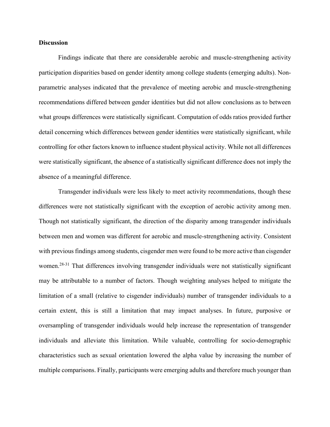## **Discussion**

Findings indicate that there are considerable aerobic and muscle-strengthening activity participation disparities based on gender identity among college students (emerging adults). Nonparametric analyses indicated that the prevalence of meeting aerobic and muscle-strengthening recommendations differed between gender identities but did not allow conclusions as to between what groups differences were statistically significant. Computation of odds ratios provided further detail concerning which differences between gender identities were statistically significant, while controlling for other factors known to influence student physical activity. While not all differences were statistically significant, the absence of a statistically significant difference does not imply the absence of a meaningful difference.

Transgender individuals were less likely to meet activity recommendations, though these differences were not statistically significant with the exception of aerobic activity among men. Though not statistically significant, the direction of the disparity among transgender individuals between men and women was different for aerobic and muscle-strengthening activity. Consistent with previous findings among students, cisgender men were found to be more active than cisgender women.<sup>28-31</sup> That differences involving transgender individuals were not statistically significant may be attributable to a number of factors. Though weighting analyses helped to mitigate the limitation of a small (relative to cisgender individuals) number of transgender individuals to a certain extent, this is still a limitation that may impact analyses. In future, purposive or oversampling of transgender individuals would help increase the representation of transgender individuals and alleviate this limitation. While valuable, controlling for socio-demographic characteristics such as sexual orientation lowered the alpha value by increasing the number of multiple comparisons. Finally, participants were emerging adults and therefore much younger than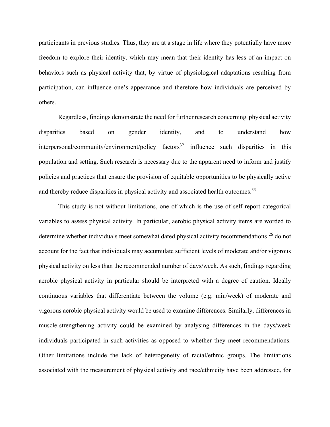participants in previous studies. Thus, they are at a stage in life where they potentially have more freedom to explore their identity, which may mean that their identity has less of an impact on behaviors such as physical activity that, by virtue of physiological adaptations resulting from participation, can influence one's appearance and therefore how individuals are perceived by others.

Regardless, findings demonstrate the need for further research concerning physical activity disparities based on gender identity, and to understand how interpersonal/community/environment/policy factors<sup>32</sup> influence such disparities in this population and setting. Such research is necessary due to the apparent need to inform and justify policies and practices that ensure the provision of equitable opportunities to be physically active and thereby reduce disparities in physical activity and associated health outcomes.<sup>33</sup>

This study is not without limitations, one of which is the use of self-report categorical variables to assess physical activity. In particular, aerobic physical activity items are worded to determine whether individuals meet somewhat dated physical activity recommendations <sup>26</sup> do not account for the fact that individuals may accumulate sufficient levels of moderate and/or vigorous physical activity on less than the recommended number of days/week. As such, findings regarding aerobic physical activity in particular should be interpreted with a degree of caution. Ideally continuous variables that differentiate between the volume (e.g. min/week) of moderate and vigorous aerobic physical activity would be used to examine differences. Similarly, differences in muscle-strengthening activity could be examined by analysing differences in the days/week individuals participated in such activities as opposed to whether they meet recommendations. Other limitations include the lack of heterogeneity of racial/ethnic groups. The limitations associated with the measurement of physical activity and race/ethnicity have been addressed, for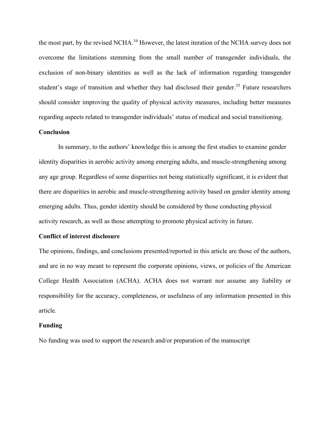the most part, by the revised NCHA.<sup>34</sup> However, the latest iteration of the NCHA survey does not overcome the limitations stemming from the small number of transgender individuals, the exclusion of non-binary identities as well as the lack of information regarding transgender student's stage of transition and whether they had disclosed their gender.<sup>35</sup> Future researchers should consider improving the quality of physical activity measures, including better measures regarding aspects related to transgender individuals' status of medical and social transitioning.

# **Conclusion**

In summary, to the authors' knowledge this is among the first studies to examine gender identity disparities in aerobic activity among emerging adults, and muscle-strengthening among any age group. Regardless of some disparities not being statistically significant, it is evident that there are disparities in aerobic and muscle-strengthening activity based on gender identity among emerging adults. Thus, gender identity should be considered by those conducting physical activity research, as well as those attempting to promote physical activity in future.

## **Conflict of interest disclosure**

The opinions, findings, and conclusions presented/reported in this article are those of the authors, and are in no way meant to represent the corporate opinions, views, or policies of the American College Health Association (ACHA). ACHA does not warrant nor assume any liability or responsibility for the accuracy, completeness, or usefulness of any information presented in this article.

#### **Funding**

No funding was used to support the research and/or preparation of the manuscript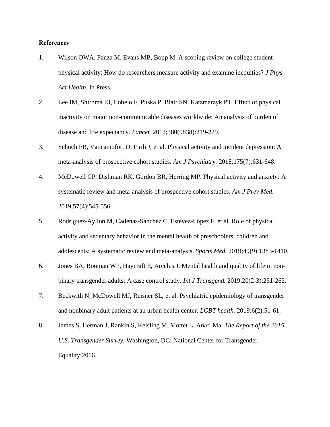## **References**

- 1. Wilson OWA, Panza M, Evans MB, Bopp M. A scoping review on college student physical activity: How do researchers measure activity and examine inequities? *J Phys Act Health.* In Press.
- 2. Lee IM, Shiroma EJ, Lobelo F, Puska P, Blair SN, Katzmarzyk PT. Effect of physical inactivity on major non-communicable diseases worldwide: An analysis of burden of disease and life expectancy. *Lancet.* 2012;380(9838):219-229.
- 3. Schuch FB, Vancampfort D, Firth J, et al. Physical activity and incident depression: A meta-analysis of prospective cohort studies. *Am J Psychiatry.* 2018;175(7):631-648.
- 4. McDowell CP, Dishman RK, Gordon BR, Herring MP. Physical activity and anxiety: A systematic review and meta-analysis of prospective cohort studies. *Am J Prev Med.*  2019;57(4):545-556.
- 5. Rodriguez-Ayllon M, Cadenas-Sánchez C, Estévez-López F, et al. Role of physical activity and sedentary behavior in the mental health of preschoolers, children and adolescents: A systematic review and meta-analysis. *Sports Med.* 2019;49(9):1383-1410.
- 6. Jones BA, Bouman WP, Haycraft E, Arcelus J. Mental health and quality of life in nonbinary transgender adults: A case control study. *Int J Transgend.* 2019;20(2-3):251-262.
- 7. Beckwith N, McDowell MJ, Reisner SL, et al. Psychiatric epidemiology of transgender and nonbinary adult patients at an urban health center. *LGBT health.* 2019;6(2):51-61.
- 8. James S, Herman J, Rankin S, Keisling M, Mottet L, Anafi Ma. *The Report of the 2015 U.S. Transgender Survey.* Washington, DC: National Center for Transgender Equality;2016.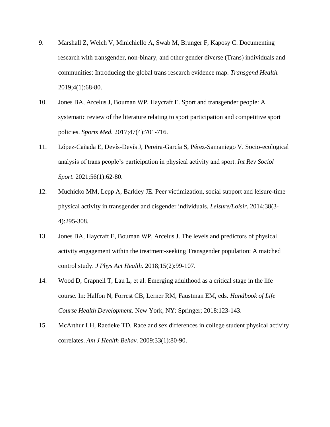- 9. Marshall Z, Welch V, Minichiello A, Swab M, Brunger F, Kaposy C. Documenting research with transgender, non-binary, and other gender diverse (Trans) individuals and communities: Introducing the global trans research evidence map. *Transgend Health.*  2019;4(1):68-80.
- 10. Jones BA, Arcelus J, Bouman WP, Haycraft E. Sport and transgender people: A systematic review of the literature relating to sport participation and competitive sport policies. *Sports Med.* 2017;47(4):701-716.
- 11. López-Cañada E, Devís-Devís J, Pereira-García S, Pérez-Samaniego V. Socio-ecological analysis of trans people's participation in physical activity and sport. *Int Rev Sociol Sport.* 2021;56(1):62-80.
- 12. Muchicko MM, Lepp A, Barkley JE. Peer victimization, social support and leisure-time physical activity in transgender and cisgender individuals. *Leisure/Loisir.* 2014;38(3- 4):295-308.
- 13. Jones BA, Haycraft E, Bouman WP, Arcelus J. The levels and predictors of physical activity engagement within the treatment-seeking Transgender population: A matched control study. *J Phys Act Health.* 2018;15(2):99-107.
- 14. Wood D, Crapnell T, Lau L, et al. Emerging adulthood as a critical stage in the life course. In: Halfon N, Forrest CB, Lerner RM, Faustman EM, eds. *Handbook of Life Course Health Development.* New York, NY: Springer; 2018:123-143.
- 15. McArthur LH, Raedeke TD. Race and sex differences in college student physical activity correlates. *Am J Health Behav.* 2009;33(1):80-90.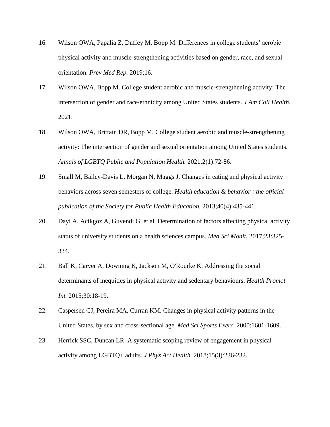- 16. Wilson OWA, Papalia Z, Duffey M, Bopp M. Differences in college students' aerobic physical activity and muscle-strengthening activities based on gender, race, and sexual orientation. *Prev Med Rep.* 2019;16.
- 17. Wilson OWA, Bopp M. College student aerobic and muscle-strengthening activity: The intersection of gender and race/ethnicity among United States students. *J Am Coll Health.*  2021.
- 18. Wilson OWA, Brittain DR, Bopp M. College student aerobic and muscle-strengthening activity: The intersection of gender and sexual orientation among United States students. *Annals of LGBTQ Public and Population Health.* 2021;2(1):72-86.
- 19. Small M, Bailey-Davis L, Morgan N, Maggs J. Changes in eating and physical activity behaviors across seven semesters of college. *Health education & behavior : the official publication of the Society for Public Health Education.* 2013;40(4):435-441.
- 20. Dayi A, Acikgoz A, Guvendi G, et al. Determination of factors affecting physical activity status of university students on a health sciences campus. *Med Sci Monit.* 2017;23:325- 334.
- 21. Ball K, Carver A, Downing K, Jackson M, O'Rourke K. Addressing the social determinants of inequities in physical activity and sedentary behaviours. *Health Promot Int.* 2015;30:18-19.
- 22. Caspersen CJ, Pereira MA, Curran KM. Changes in physical activity patterns in the United States, by sex and cross-sectional age. *Med Sci Sports Exerc.* 2000:1601-1609.
- 23. Herrick SSC, Duncan LR. A systematic scoping review of engagement in physical activity among LGBTQ+ adults. *J Phys Act Health.* 2018;15(3):226-232.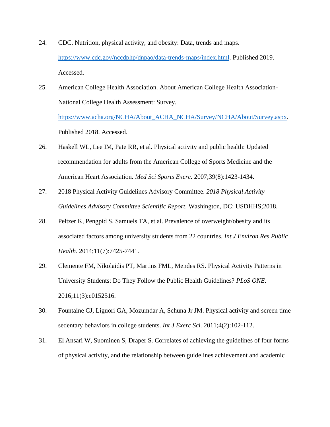- 24. CDC. Nutrition, physical activity, and obesity: Data, trends and maps. [https://www.cdc.gov/nccdphp/dnpao/data-trends-maps/index.html.](https://www.cdc.gov/nccdphp/dnpao/data-trends-maps/index.html) Published 2019. Accessed.
- 25. American College Health Association. About American College Health Association-National College Health Assessment: Survey. [https://www.acha.org/NCHA/About\\_ACHA\\_NCHA/Survey/NCHA/About/Survey.aspx.](https://www.acha.org/NCHA/About_ACHA_NCHA/Survey/NCHA/About/Survey.aspx) Published 2018. Accessed.
- 26. Haskell WL, Lee IM, Pate RR, et al. Physical activity and public health: Updated recommendation for adults from the American College of Sports Medicine and the American Heart Association. *Med Sci Sports Exerc.* 2007;39(8):1423-1434.
- 27. 2018 Physical Activity Guidelines Advisory Committee. *2018 Physical Activity Guidelines Advisory Committee Scientific Report.* Washington, DC: USDHHS;2018.
- 28. Peltzer K, Pengpid S, Samuels TA, et al. Prevalence of overweight/obesity and its associated factors among university students from 22 countries. *Int J Environ Res Public Health.* 2014;11(7):7425-7441.
- 29. Clemente FM, Nikolaidis PT, Martins FML, Mendes RS. Physical Activity Patterns in University Students: Do They Follow the Public Health Guidelines? *PLoS ONE.*  2016;11(3):e0152516.
- 30. Fountaine CJ, Liguori GA, Mozumdar A, Schuna Jr JM. Physical activity and screen time sedentary behaviors in college students. *Int J Exerc Sci.* 2011;4(2):102-112.
- 31. El Ansari W, Suominen S, Draper S. Correlates of achieving the guidelines of four forms of physical activity, and the relationship between guidelines achievement and academic